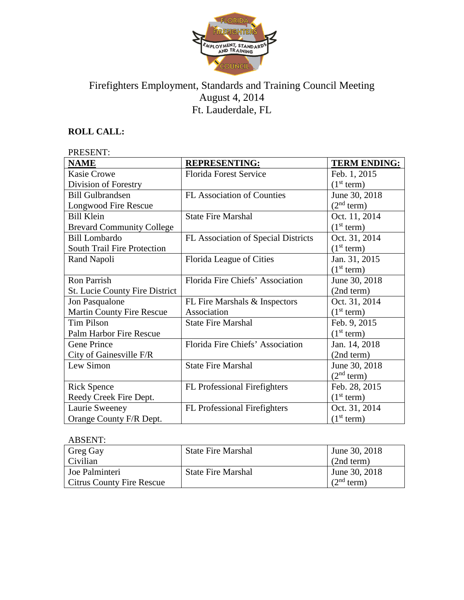

# Firefighters Employment, Standards and Training Council Meeting August 4, 2014 Ft. Lauderdale, FL

## **ROLL CALL:**

#### PRESENT: **NAME REPRESENTING: TERM ENDING:** Kasie Crowe Division of Forestry Florida Forest Service Feb. 1, 2015  $(1<sup>st</sup> term)$ Bill Gulbrandsen Longwood Fire Rescue FL Association of Counties June 30, 2018  $(2<sup>nd</sup> term)$ Bill Klein Brevard Community College State Fire Marshal  $\vert$  Oct. 11, 2014  $(1<sup>st</sup> term)$ Bill Lombardo South Trail Fire Protection FL Association of Special Districts  $\vert$  Oct. 31, 2014  $(1<sup>st</sup> term)$ Rand Napoli Florida League of Cities Jan. 31, 2015  $(1<sup>st</sup> term)$ Ron Parrish St. Lucie County Fire District Florida Fire Chiefs' Association June 30, 2018 (2nd term) Jon Pasqualone Martin County Fire Rescue FL Fire Marshals & Inspectors Association Oct. 31, 2014  $(1<sup>st</sup> term)$ Tim Pilson Palm Harbor Fire Rescue State Fire Marshal Feb. 9, 2015  $(1<sup>st</sup> term)$ Gene Prince City of Gainesville F/R Florida Fire Chiefs' Association Jan. 14, 2018 (2nd term) Lew Simon State Fire Marshal June 30, 2018  $(2<sup>nd</sup> term)$ Rick Spence Reedy Creek Fire Dept. FL Professional Firefighters | Feb. 28, 2015  $\frac{(1^{st} \text{ term})}{\text{Oct. } 31, 2014}$ Laurie Sweeney Orange County F/R Dept. FL Professional Firefighters  $(1<sup>st</sup> term)$

| <b>ABSENT:</b>            |                           |                        |
|---------------------------|---------------------------|------------------------|
| Greg Gay                  | <b>State Fire Marshal</b> | June 30, 2018          |
| Civilian                  |                           | (2nd term)             |
| Joe Palminteri            | <b>State Fire Marshal</b> | June 30, 2018          |
| Citrus County Fire Rescue |                           | (2 <sup>nd</sup> term) |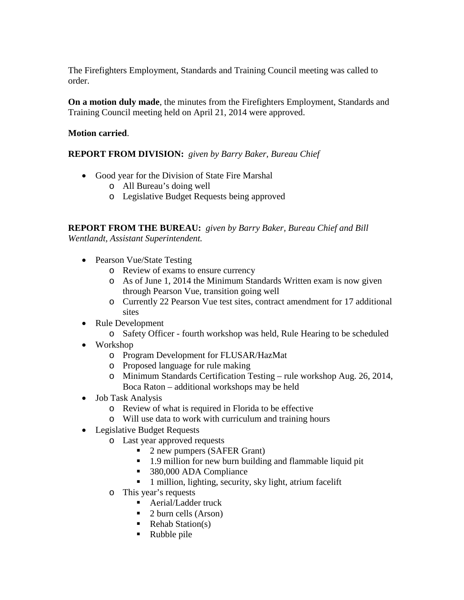The Firefighters Employment, Standards and Training Council meeting was called to order.

**On a motion duly made**, the minutes from the Firefighters Employment, Standards and Training Council meeting held on April 21, 2014 were approved.

## **Motion carried**.

## **REPORT FROM DIVISION:** *given by Barry Baker, Bureau Chief*

- Good year for the Division of State Fire Marshal
	- o All Bureau's doing well
	- o Legislative Budget Requests being approved

**REPORT FROM THE BUREAU:** *given by Barry Baker, Bureau Chief and Bill Wentlandt, Assistant Superintendent.*

- Pearson Vue/State Testing
	- o Review of exams to ensure currency
	- o As of June 1, 2014 the Minimum Standards Written exam is now given through Pearson Vue, transition going well
	- o Currently 22 Pearson Vue test sites, contract amendment for 17 additional sites
- Rule Development
	- o Safety Officer fourth workshop was held, Rule Hearing to be scheduled
- Workshop
	- o Program Development for FLUSAR/HazMat
	- o Proposed language for rule making
	- o Minimum Standards Certification Testing rule workshop Aug. 26, 2014, Boca Raton – additional workshops may be held
- Job Task Analysis
	- o Review of what is required in Florida to be effective
	- o Will use data to work with curriculum and training hours
- Legislative Budget Requests
	- $\circ$  Last year approved requests<br>2 new pumpers (SAF
		- 2 new pumpers (SAFER Grant)
		- 1.9 million for new burn building and flammable liquid pit
		- 380,000 ADA Compliance
		- 1 million, lighting, security, sky light, atrium facelift
	- o This year's requests
		- Aerial/Ladder truck
		- $\blacksquare$  2 burn cells (Arson)
		- $\blacksquare$  Rehab Station(s)
		- Rubble pile